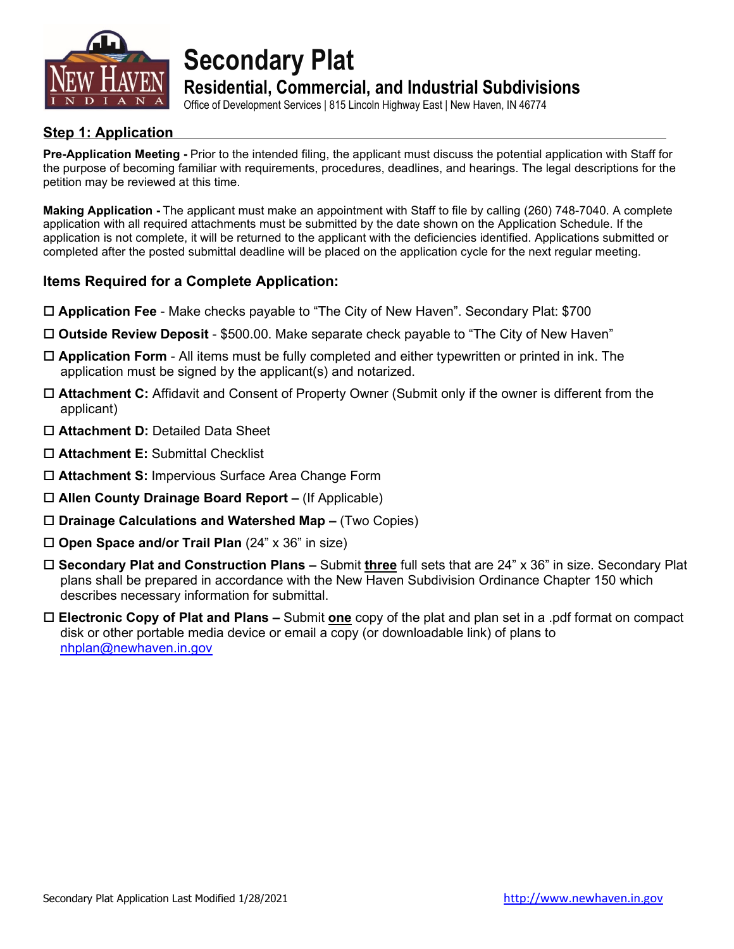

**Secondary Plat**

### **Residential, Commercial, and Industrial Subdivisions**

Office of Development Services | 815 Lincoln Highway East | New Haven, IN 46774

#### **Step 1: Application**

**Pre-Application Meeting -** Prior to the intended filing, the applicant must discuss the potential application with Staff for the purpose of becoming familiar with requirements, procedures, deadlines, and hearings. The legal descriptions for the petition may be reviewed at this time.

**Making Application -** The applicant must make an appointment with Staff to file by calling (260) 748-7040. A complete application with all required attachments must be submitted by the date shown on the Application Schedule. If the application is not complete, it will be returned to the applicant with the deficiencies identified. Applications submitted or completed after the posted submittal deadline will be placed on the application cycle for the next regular meeting.

#### **Items Required for a Complete Application:**

- **Application Fee** Make checks payable to "The City of New Haven". Secondary Plat: \$700
- **Outside Review Deposit**  \$500.00. Make separate check payable to "The City of New Haven"
- **Application Form** All items must be fully completed and either typewritten or printed in ink. The application must be signed by the applicant(s) and notarized.
- **Attachment C:** Affidavit and Consent of Property Owner (Submit only if the owner is different from the applicant)
- **Attachment D:** Detailed Data Sheet
- **Attachment E:** Submittal Checklist
- **Attachment S:** Impervious Surface Area Change Form
- **Allen County Drainage Board Report –** (If Applicable)
- **Drainage Calculations and Watershed Map –** (Two Copies)
- **Open Space and/or Trail Plan** (24" x 36" in size)
- **Secondary Plat and Construction Plans –** Submit **three** full sets that are 24" x 36" in size. Secondary Plat plans shall be prepared in accordance with the New Haven Subdivision Ordinance Chapter 150 which describes necessary information for submittal.
- **Electronic Copy of Plat and Plans –** Submit **one** copy of the plat and plan set in a .pdf format on compact disk or other portable media device or email a copy (or downloadable link) of plans to [nhplan@newhaven.in.gov](mailto:nhplan@newhaven.in.gov)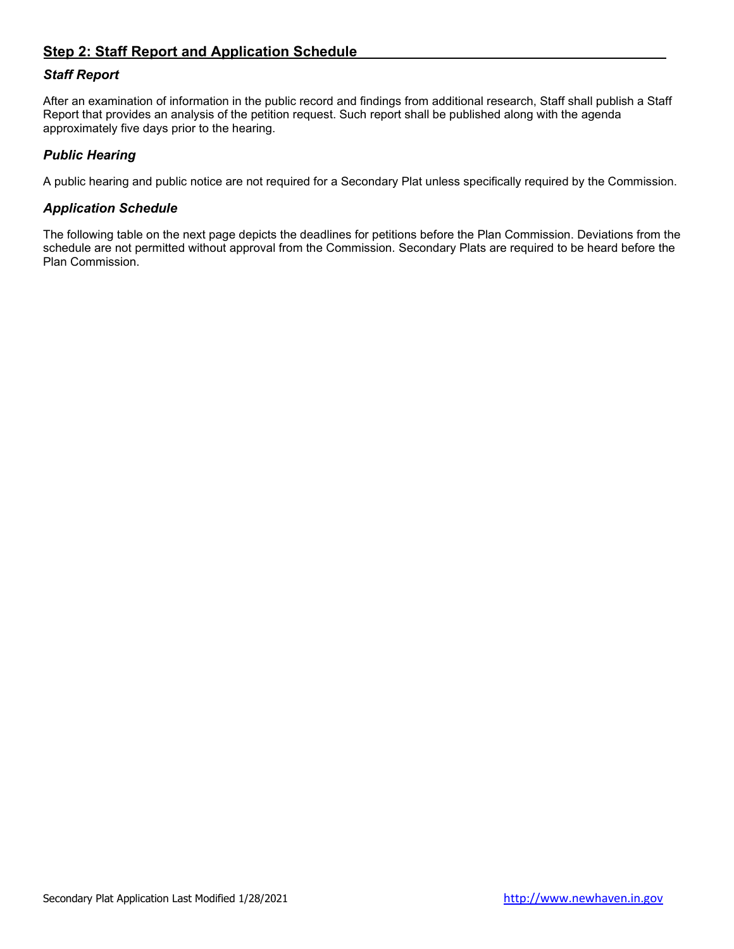#### **Step 2: Staff Report and Application Schedule**

#### *Staff Report*

After an examination of information in the public record and findings from additional research, Staff shall publish a Staff Report that provides an analysis of the petition request. Such report shall be published along with the agenda approximately five days prior to the hearing.

#### *Public Hearing*

A public hearing and public notice are not required for a Secondary Plat unless specifically required by the Commission.

#### *Application Schedule*

The following table on the next page depicts the deadlines for petitions before the Plan Commission. Deviations from the schedule are not permitted without approval from the Commission. Secondary Plats are required to be heard before the Plan Commission.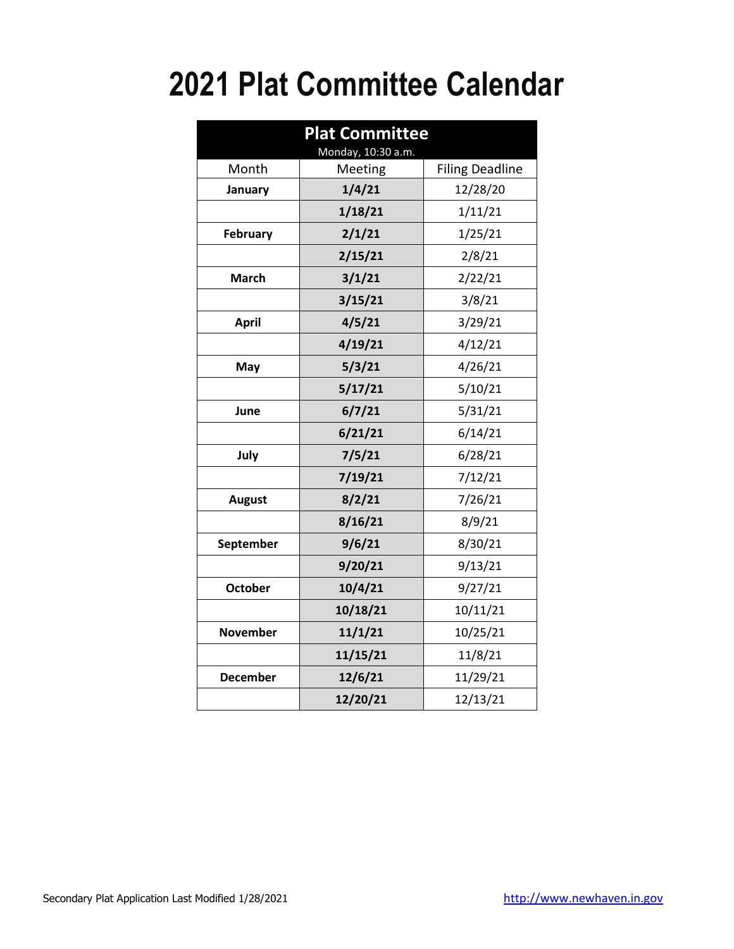# **2021 Plat Committee Calendar**

| <b>Plat Committee</b><br>Monday, 10:30 a.m. |          |                        |  |
|---------------------------------------------|----------|------------------------|--|
| Month                                       | Meeting  | <b>Filing Deadline</b> |  |
| January                                     | 1/4/21   | 12/28/20               |  |
|                                             | 1/18/21  | 1/11/21                |  |
| <b>February</b>                             | 2/1/21   | 1/25/21                |  |
|                                             | 2/15/21  | 2/8/21                 |  |
| <b>March</b>                                | 3/1/21   | 2/22/21                |  |
|                                             | 3/15/21  | 3/8/21                 |  |
| <b>April</b>                                | 4/5/21   | 3/29/21                |  |
|                                             | 4/19/21  | 4/12/21                |  |
| May                                         | 5/3/21   | 4/26/21                |  |
|                                             | 5/17/21  | 5/10/21                |  |
| June                                        | 6/7/21   | 5/31/21                |  |
|                                             | 6/21/21  | 6/14/21                |  |
| July                                        | 7/5/21   | 6/28/21                |  |
|                                             | 7/19/21  | 7/12/21                |  |
| <b>August</b>                               | 8/2/21   | 7/26/21                |  |
|                                             | 8/16/21  | 8/9/21                 |  |
| September                                   | 9/6/21   | 8/30/21                |  |
|                                             | 9/20/21  | 9/13/21                |  |
| <b>October</b>                              | 10/4/21  | 9/27/21                |  |
|                                             | 10/18/21 | 10/11/21               |  |
| <b>November</b>                             | 11/1/21  | 10/25/21               |  |
|                                             | 11/15/21 | 11/8/21                |  |
| <b>December</b>                             | 12/6/21  | 11/29/21               |  |
|                                             | 12/20/21 | 12/13/21               |  |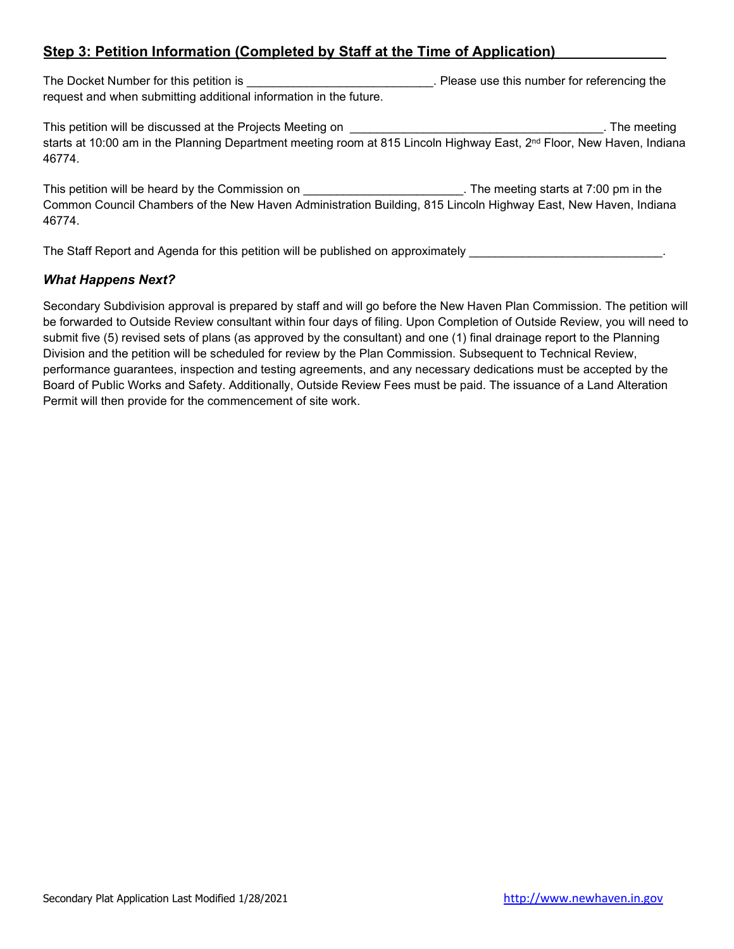#### **Step 3: Petition Information (Completed by Staff at the Time of Application)**

The Docket Number for this petition is \_\_\_\_\_\_\_\_\_\_\_\_\_\_\_\_\_\_\_\_\_\_\_\_\_\_\_\_\_\_\_\_. Please use this number for referencing the request and when submitting additional information in the future.

This petition will be discussed at the Projects Meeting on **will be a set of the meeting** on the meeting of the meeting starts at 10:00 am in the Planning Department meeting room at 815 Lincoln Highway East, 2<sup>nd</sup> Floor, New Haven, Indiana 46774.

This petition will be heard by the Commission on **will be about the meeting starts at 7:00** pm in the Common Council Chambers of the New Haven Administration Building, 815 Lincoln Highway East, New Haven, Indiana 46774.

The Staff Report and Agenda for this petition will be published on approximately **EXEC 2008** 

#### *What Happens Next?*

Secondary Subdivision approval is prepared by staff and will go before the New Haven Plan Commission. The petition will be forwarded to Outside Review consultant within four days of filing. Upon Completion of Outside Review, you will need to submit five (5) revised sets of plans (as approved by the consultant) and one (1) final drainage report to the Planning Division and the petition will be scheduled for review by the Plan Commission. Subsequent to Technical Review, performance guarantees, inspection and testing agreements, and any necessary dedications must be accepted by the Board of Public Works and Safety. Additionally, Outside Review Fees must be paid. The issuance of a Land Alteration Permit will then provide for the commencement of site work.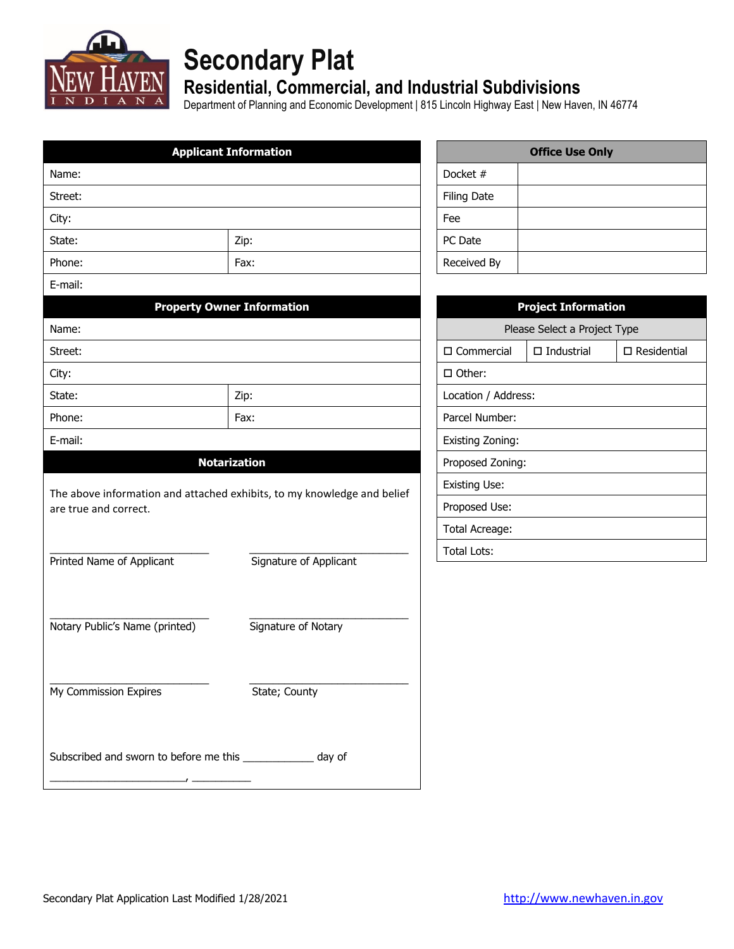

## **Secondary Plat**

## **Residential, Commercial, and Industrial Subdivisions**

Department of Planning and Economic Development | 815 Lincoln Highway East | New Haven, IN 46774

| <b>Applicant Information</b>                                |                                                                         |     |                      | <b>Office Use Only</b>       |                       |
|-------------------------------------------------------------|-------------------------------------------------------------------------|-----|----------------------|------------------------------|-----------------------|
| Name:                                                       |                                                                         |     | Docket #             |                              |                       |
| Street:                                                     |                                                                         |     | <b>Filing Date</b>   |                              |                       |
| City:                                                       |                                                                         | Fee |                      |                              |                       |
| State:                                                      | Zip:                                                                    |     | PC Date              |                              |                       |
| Phone:                                                      | Fax:                                                                    |     | Received By          |                              |                       |
| E-mail:                                                     |                                                                         |     |                      |                              |                       |
|                                                             | <b>Property Owner Information</b>                                       |     |                      | <b>Project Information</b>   |                       |
| Name:                                                       |                                                                         |     |                      | Please Select a Project Type |                       |
| Street:                                                     |                                                                         |     | $\square$ Commercial | $\Box$ Industrial            | $\square$ Residential |
| City:                                                       |                                                                         |     | $\Box$ Other:        |                              |                       |
| State:                                                      | Zip:                                                                    |     | Location / Address:  |                              |                       |
| Phone:                                                      | Fax:                                                                    |     | Parcel Number:       |                              |                       |
| E-mail:                                                     |                                                                         |     | Existing Zoning:     |                              |                       |
|                                                             | <b>Notarization</b>                                                     |     | Proposed Zoning:     |                              |                       |
|                                                             | The above information and attached exhibits, to my knowledge and belief |     | <b>Existing Use:</b> |                              |                       |
| are true and correct.                                       |                                                                         |     | Proposed Use:        |                              |                       |
|                                                             |                                                                         |     | Total Acreage:       |                              |                       |
|                                                             |                                                                         |     | <b>Total Lots:</b>   |                              |                       |
| Printed Name of Applicant                                   | Signature of Applicant                                                  |     |                      |                              |                       |
|                                                             |                                                                         |     |                      |                              |                       |
|                                                             |                                                                         |     |                      |                              |                       |
| Notary Public's Name (printed)                              | Signature of Notary                                                     |     |                      |                              |                       |
|                                                             |                                                                         |     |                      |                              |                       |
| My Commission Expires                                       | State; County                                                           |     |                      |                              |                       |
|                                                             |                                                                         |     |                      |                              |                       |
|                                                             |                                                                         |     |                      |                              |                       |
| Subscribed and sworn to before me this _____________ day of |                                                                         |     |                      |                              |                       |
|                                                             |                                                                         |     |                      |                              |                       |
|                                                             |                                                                         |     |                      |                              |                       |

| <b>Office Use Only</b> |  |  |
|------------------------|--|--|
| Docket #               |  |  |
| <b>Filing Date</b>     |  |  |
| Fee                    |  |  |
| PC Date                |  |  |
| Received By            |  |  |

| <b>Project Information</b>                              |  |  |  |
|---------------------------------------------------------|--|--|--|
| Please Select a Project Type                            |  |  |  |
| $\Box$ Residential<br>□ Commercial<br>$\Box$ Industrial |  |  |  |
| □ Other:                                                |  |  |  |
| Location / Address:                                     |  |  |  |
| Parcel Number:                                          |  |  |  |
| Existing Zoning:                                        |  |  |  |
| Proposed Zoning:                                        |  |  |  |
| Existing Use:                                           |  |  |  |
| Proposed Use:                                           |  |  |  |
| Total Acreage:                                          |  |  |  |
| Total Lots:                                             |  |  |  |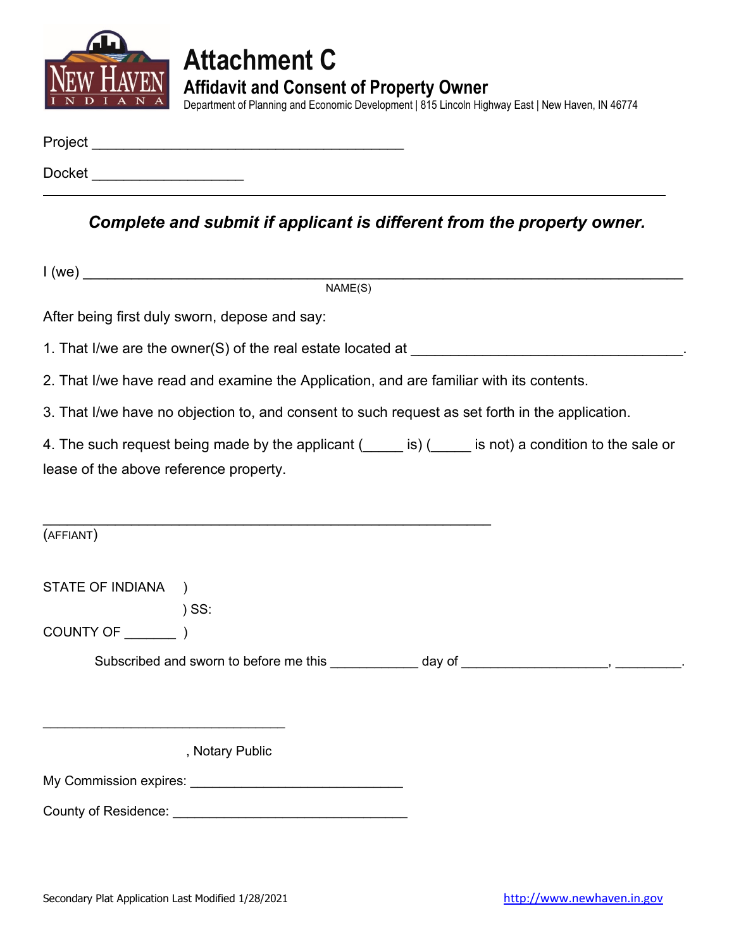

## **Attachment C Affidavit and Consent of Property Owner**

Department of Planning and Economic Development | 815 Lincoln Highway East | New Haven, IN 46774

| Project |  |  |  |
|---------|--|--|--|
|         |  |  |  |
| Docket  |  |  |  |

*Complete and submit if applicant is different from the property owner.*

|                                        | NAME(S)                                                                                         |  |                                                                                                        |
|----------------------------------------|-------------------------------------------------------------------------------------------------|--|--------------------------------------------------------------------------------------------------------|
|                                        | After being first duly sworn, depose and say:                                                   |  |                                                                                                        |
|                                        |                                                                                                 |  |                                                                                                        |
|                                        | 2. That I/we have read and examine the Application, and are familiar with its contents.         |  |                                                                                                        |
|                                        | 3. That I/we have no objection to, and consent to such request as set forth in the application. |  |                                                                                                        |
|                                        |                                                                                                 |  | 4. The such request being made by the applicant (incore is) (incore is not) a condition to the sale or |
| lease of the above reference property. |                                                                                                 |  |                                                                                                        |
|                                        |                                                                                                 |  |                                                                                                        |
| (AFFIANT)                              |                                                                                                 |  |                                                                                                        |
| STATE OF INDIANA )                     |                                                                                                 |  |                                                                                                        |
|                                        | $)$ SS:                                                                                         |  |                                                                                                        |
|                                        |                                                                                                 |  |                                                                                                        |
|                                        |                                                                                                 |  | Subscribed and sworn to before me this ____________ day of _____________________, __________.          |
|                                        |                                                                                                 |  |                                                                                                        |
|                                        |                                                                                                 |  |                                                                                                        |
|                                        | , Notary Public                                                                                 |  |                                                                                                        |
|                                        |                                                                                                 |  |                                                                                                        |
|                                        |                                                                                                 |  |                                                                                                        |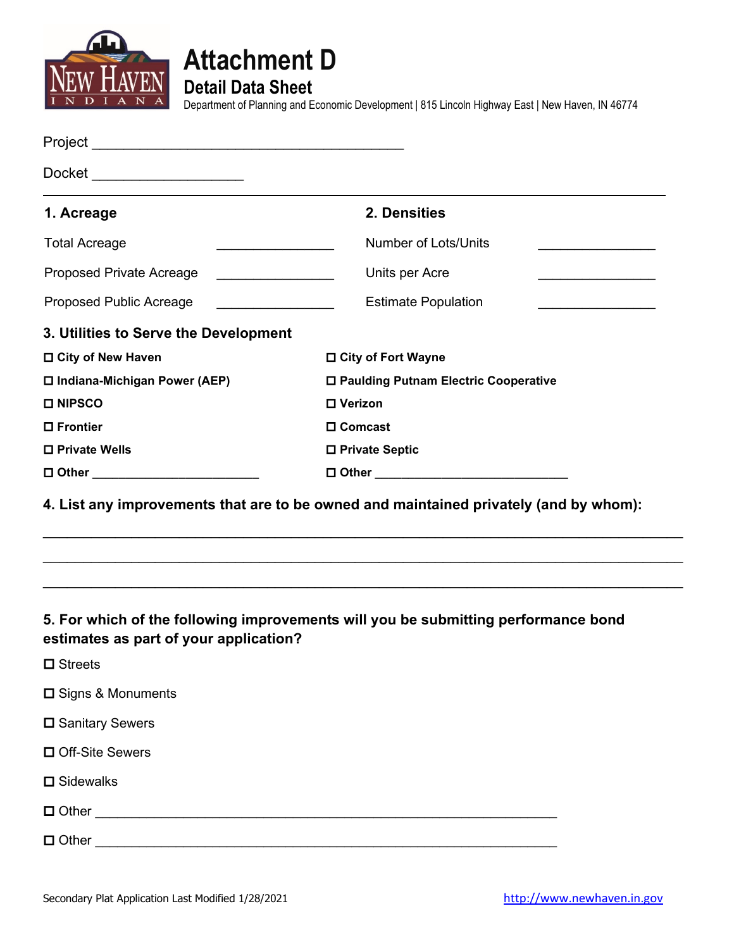



**Detail Data Sheet**

Department of Planning and Economic Development | 815 Lincoln Highway East | New Haven, IN 46774

| Docket ______________________          |                                                                                       |  |
|----------------------------------------|---------------------------------------------------------------------------------------|--|
| 1. Acreage                             | 2. Densities                                                                          |  |
| <b>Total Acreage</b>                   | <b>Number of Lots/Units</b>                                                           |  |
| Proposed Private Acreage               | Units per Acre                                                                        |  |
| Proposed Public Acreage                | <b>Estimate Population</b><br><u> 1990 - Johann Barbara, martin a</u>                 |  |
| 3. Utilities to Serve the Development  |                                                                                       |  |
| □ City of New Haven                    | □ City of Fort Wayne                                                                  |  |
| □ Indiana-Michigan Power (AEP)         | □ Paulding Putnam Electric Cooperative                                                |  |
| <b>□ NIPSCO</b>                        | □ Verizon                                                                             |  |
| □ Frontier                             | □ Comcast                                                                             |  |
| □ Private Wells                        | □ Private Septic                                                                      |  |
| □ Other __________________________     |                                                                                       |  |
|                                        | 4. List any improvements that are to be owned and maintained privately (and by whom): |  |
| estimates as part of your application? | 5. For which of the following improvements will you be submitting performance bond    |  |
| $\square$ Streets                      |                                                                                       |  |
| □ Signs & Monuments                    |                                                                                       |  |
| □ Sanitary Sewers                      |                                                                                       |  |
| □ Off-Site Sewers                      |                                                                                       |  |
|                                        |                                                                                       |  |

**□** Sidewalks

Other \_\_\_\_\_\_\_\_\_\_\_\_\_\_\_\_\_\_\_\_\_\_\_\_\_\_\_\_\_\_\_\_\_\_\_\_\_\_\_\_\_\_\_\_\_\_\_\_\_\_\_\_\_\_\_\_\_\_\_\_\_\_\_

Other \_\_\_\_\_\_\_\_\_\_\_\_\_\_\_\_\_\_\_\_\_\_\_\_\_\_\_\_\_\_\_\_\_\_\_\_\_\_\_\_\_\_\_\_\_\_\_\_\_\_\_\_\_\_\_\_\_\_\_\_\_\_\_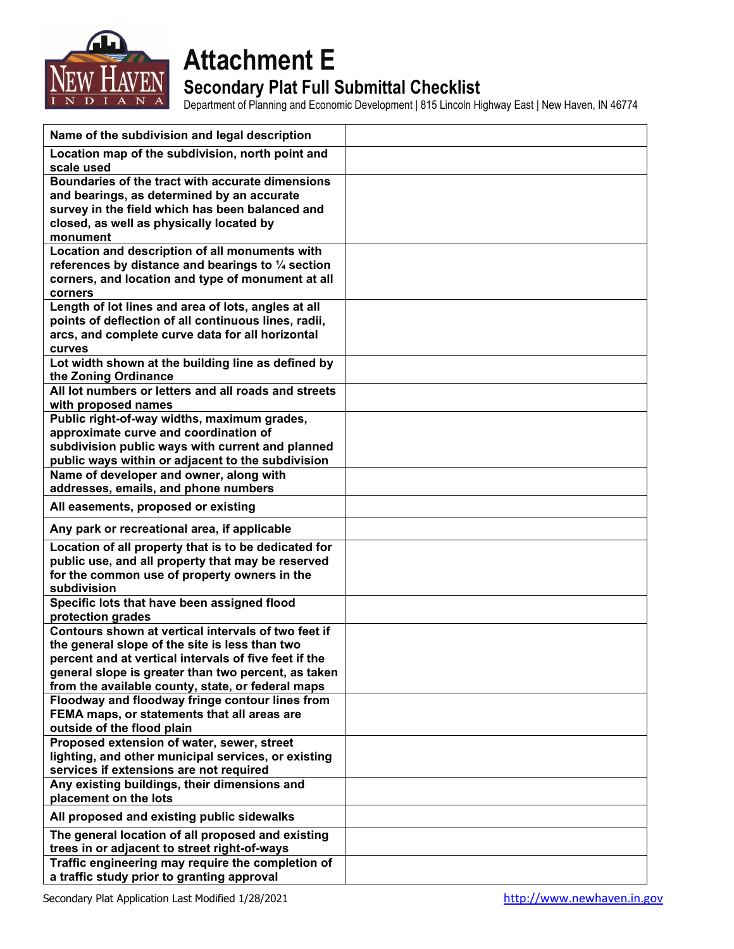

## **Attachment E**

### **Secondary Plat Full Submittal Checklist**

Department of Planning and Economic Development | 815 Lincoln Highway East | New Haven, IN 46774

| Name of the subdivision and legal description                                                |  |
|----------------------------------------------------------------------------------------------|--|
| Location map of the subdivision, north point and                                             |  |
| scale used                                                                                   |  |
| Boundaries of the tract with accurate dimensions                                             |  |
| and bearings, as determined by an accurate                                                   |  |
| survey in the field which has been balanced and                                              |  |
| closed, as well as physically located by<br>monument                                         |  |
| Location and description of all monuments with                                               |  |
| references by distance and bearings to 1/4 section                                           |  |
| corners, and location and type of monument at all                                            |  |
| corners                                                                                      |  |
| Length of lot lines and area of lots, angles at all                                          |  |
| points of deflection of all continuous lines, radii,                                         |  |
| arcs, and complete curve data for all horizontal                                             |  |
| curves                                                                                       |  |
| Lot width shown at the building line as defined by                                           |  |
| the Zoning Ordinance                                                                         |  |
| All lot numbers or letters and all roads and streets                                         |  |
| with proposed names                                                                          |  |
| Public right-of-way widths, maximum grades,                                                  |  |
| approximate curve and coordination of                                                        |  |
| subdivision public ways with current and planned                                             |  |
| public ways within or adjacent to the subdivision<br>Name of developer and owner, along with |  |
| addresses, emails, and phone numbers                                                         |  |
|                                                                                              |  |
| All easements, proposed or existing                                                          |  |
| Any park or recreational area, if applicable                                                 |  |
| Location of all property that is to be dedicated for                                         |  |
| public use, and all property that may be reserved                                            |  |
| for the common use of property owners in the<br>subdivision                                  |  |
| Specific lots that have been assigned flood                                                  |  |
| protection grades                                                                            |  |
| Contours shown at vertical intervals of two feet if                                          |  |
| the general slope of the site is less than two                                               |  |
| percent and at vertical intervals of five feet if the                                        |  |
| general slope is greater than two percent, as taken                                          |  |
| from the available county, state, or federal maps                                            |  |
| Floodway and floodway fringe contour lines from                                              |  |
| FEMA maps, or statements that all areas are                                                  |  |
| outside of the flood plain                                                                   |  |
| Proposed extension of water, sewer, street                                                   |  |
| lighting, and other municipal services, or existing                                          |  |
| services if extensions are not required                                                      |  |
| Any existing buildings, their dimensions and<br>placement on the lots                        |  |
| All proposed and existing public sidewalks                                                   |  |
| The general location of all proposed and existing                                            |  |
| trees in or adjacent to street right-of-ways                                                 |  |
| Traffic engineering may require the completion of                                            |  |
| a traffic study prior to granting approval                                                   |  |